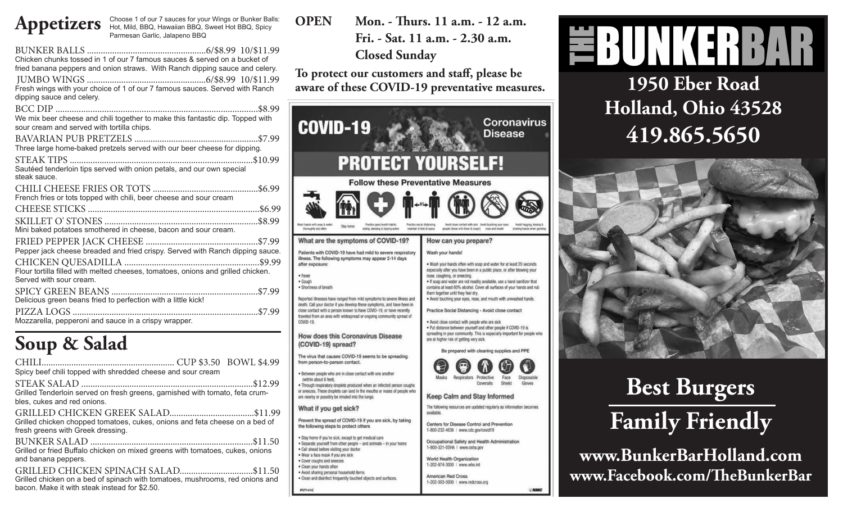Appetizers Choose 1 of our 7 sauces for your Wings or Bunker Balls:<br>
Mid, BBQ, Hawaiian BBQ, Sweet Hot BBQ, Spicy Hot, Mild, BBQ, Hawaiian BBQ, Sweet Hot BBQ, Spicy Parmesan Garlic, Jalapeno BBQ

| Chicken chunks tossed in 1 of our 7 famous sauces & served on a bucket of<br>fried banana peppers and onion straws. With Ranch dipping sauce and celery.<br>Fresh wings with your choice of 1 of our 7 famous sauces. Served with Ranch<br>dipping sauce and celery. |
|----------------------------------------------------------------------------------------------------------------------------------------------------------------------------------------------------------------------------------------------------------------------|
| We mix beer cheese and chili together to make this fantastic dip. Topped with<br>sour cream and served with tortilla chips.                                                                                                                                          |
| Three large home-baked pretzels served with our beer cheese for dipping.                                                                                                                                                                                             |
| Sautéed tenderloin tips served with onion petals, and our own special<br>steak sauce.                                                                                                                                                                                |
| French fries or tots topped with chili, beer cheese and sour cream                                                                                                                                                                                                   |
|                                                                                                                                                                                                                                                                      |
| Mini baked potatoes smothered in cheese, bacon and sour cream.                                                                                                                                                                                                       |
| Pepper jack cheese breaded and fried crispy. Served with Ranch dipping sauce.                                                                                                                                                                                        |
| Flour tortilla filled with melted cheeses, tomatoes, onions and grilled chicken.<br>Served with sour cream.                                                                                                                                                          |
| Delicious green beans fried to perfection with a little kick!                                                                                                                                                                                                        |
| Mozzarella, pepperoni and sauce in a crispy wrapper.                                                                                                                                                                                                                 |

# **Soup & Salad**

| Spicy beef chili topped with shredded cheese and sour cream                                                                   |  |
|-------------------------------------------------------------------------------------------------------------------------------|--|
| Grilled Tenderloin served on fresh greens, garnished with tomato, feta crum-<br>bles, cukes and red onions.                   |  |
| Grilled chicken chopped tomatoes, cukes, onions and feta cheese on a bed of<br>fresh greens with Greek dressing.              |  |
| Grilled or fried Buffalo chicken on mixed greens with tomatoes, cukes, onions<br>and banana peppers.                          |  |
| Grilled chicken on a bed of spinach with tomatoes, mushrooms, red onions and<br>bacon. Make it with steak instead for \$2.50. |  |

**OPEN Mon. - Thurs. 11 a.m. - 12 a.m. Fri. - Sat. 11 a.m. - 2.30 a.m. Closed Sunday**

**To protect our customers and staff, please be aware of these COVID-19 preventative measures.**

ıs

| <b>COVID-19</b>                                                                                                                                                                                                                                                                                                                                                                                                                                                                                                                                                           | <b>Coronavirus</b><br><b>Disease</b>                                                                                                                                                                                                                                                                                                                                                                                                                                                                                                                                                                                                                                                                                                                                 |
|---------------------------------------------------------------------------------------------------------------------------------------------------------------------------------------------------------------------------------------------------------------------------------------------------------------------------------------------------------------------------------------------------------------------------------------------------------------------------------------------------------------------------------------------------------------------------|----------------------------------------------------------------------------------------------------------------------------------------------------------------------------------------------------------------------------------------------------------------------------------------------------------------------------------------------------------------------------------------------------------------------------------------------------------------------------------------------------------------------------------------------------------------------------------------------------------------------------------------------------------------------------------------------------------------------------------------------------------------------|
| <b>PROTECT YOURSELF!</b>                                                                                                                                                                                                                                                                                                                                                                                                                                                                                                                                                  |                                                                                                                                                                                                                                                                                                                                                                                                                                                                                                                                                                                                                                                                                                                                                                      |
| <b>Follow these Preventative Measures</b>                                                                                                                                                                                                                                                                                                                                                                                                                                                                                                                                 |                                                                                                                                                                                                                                                                                                                                                                                                                                                                                                                                                                                                                                                                                                                                                                      |
| Practice good health habits:<br>Wash hands with soap & water<br>Stay home<br>thoroughly and offen<br>eating, sleeping & staying active                                                                                                                                                                                                                                                                                                                                                                                                                                    | Practice ecclal distancing.<br>Auckd close contact with sick Avoid fouching your eyes.<br>Avoid hugging, kissing &<br>maintain 6 feet of space<br>people (those with fever & cough)<br>none and mouth<br>shaking hands when greetin                                                                                                                                                                                                                                                                                                                                                                                                                                                                                                                                  |
| What are the symptoms of COVID-19?                                                                                                                                                                                                                                                                                                                                                                                                                                                                                                                                        | How can you prepare?                                                                                                                                                                                                                                                                                                                                                                                                                                                                                                                                                                                                                                                                                                                                                 |
| Patients with COVID-19 have had mild to severe respiratory<br>illness. The following symptoms may appear 2-14 days<br>after exposure:<br>• Fever<br>· Cough<br>· Shortness of breath<br>Reported illnesses have ranged from mild symptoms to severe illness and<br>death. Call your doctor if you develop these symptoms, and have been in<br>close contact with a person known to have COVID-19, or have recently<br>traveled from an area with widespread or ongoing community spread of<br>COVID-19.<br><b>How does this Coronavirus Disease</b><br>(COVID-19) spread? | Wash your hands!<br>. Wash your hands often with soap and water for at least 20 seconds<br>especially after you have been in a public place, or after blowing your<br>nose, coughing, or sneezing.<br>. If soap and water are not readily available, use a hand sanitizer that<br>contains at least 60% alcohol. Cover all surfaces of your hands and rub<br>them together until they feel dry.<br>. Avoid touching your eyes, nose, and mouth with unwashed hands.<br>Practice Social Distancing - Avoid close contact<br>. Avoid close contact with people who are sick<br>. Put distance between yourself and other people if COVID-19 is<br>spreading in your community. This is especially important for people who<br>are at higher risk of getting very sick. |
| The virus that causes COVID-19 seems to be spreading<br>from person-to-person contact.                                                                                                                                                                                                                                                                                                                                                                                                                                                                                    | Be prepared with cleaning supplies and PPE                                                                                                                                                                                                                                                                                                                                                                                                                                                                                                                                                                                                                                                                                                                           |
| . Between people who are in close contact with one another<br>(within about 6 feet).<br>. Through respiratory droplets produced when an infected person coughs<br>or sneezes. These droplets can land in the mouths or noses of people who<br>are nearby or possibly be inhaled into the lungs.                                                                                                                                                                                                                                                                           | Protective<br>Face<br>Masks<br>Respirators<br>Disposable<br>Coveralls<br>Shield<br>Gloves<br><b>Keep Calm and Stay Informed</b>                                                                                                                                                                                                                                                                                                                                                                                                                                                                                                                                                                                                                                      |
| What if you get sick?                                                                                                                                                                                                                                                                                                                                                                                                                                                                                                                                                     | The following resources are updated regularly as information becomes<br>available.                                                                                                                                                                                                                                                                                                                                                                                                                                                                                                                                                                                                                                                                                   |
| Prevent the spread of COVID-19 if you are sick, by taking<br>the following steps to protect others                                                                                                                                                                                                                                                                                                                                                                                                                                                                        | Centers for Disease Control and Prevention<br>1-800-232-4636   www.cdc.gov/covid19                                                                                                                                                                                                                                                                                                                                                                                                                                                                                                                                                                                                                                                                                   |
| . Stay home if you're sick, except to get medical care<br>· Separate yourself from other people - and animals - in your home<br>· Call ahead before visiting your doctor                                                                                                                                                                                                                                                                                                                                                                                                  | Occupational Safety and Health Administration<br>1-800-321-0SHA   www.osha.gov                                                                                                                                                                                                                                                                                                                                                                                                                                                                                                                                                                                                                                                                                       |
| . Wear a face mask if you are sick<br>· Cover coughs and sneezes<br>· Clean your hands often                                                                                                                                                                                                                                                                                                                                                                                                                                                                              | <b>World Health Organization</b><br>1-202-974-3000   www.who.int                                                                                                                                                                                                                                                                                                                                                                                                                                                                                                                                                                                                                                                                                                     |

American Red Cross

1-202-303-5000 | www.redcross.org

. Avoid sharing personal household items

Clean and disinfect frequently touched objects and surfaces.



**1950 Eber Road Holland, Ohio 43528 419.865.5650**





**www.BunkerBarHolland.com www.Facebook.com/TheBunkerBar**